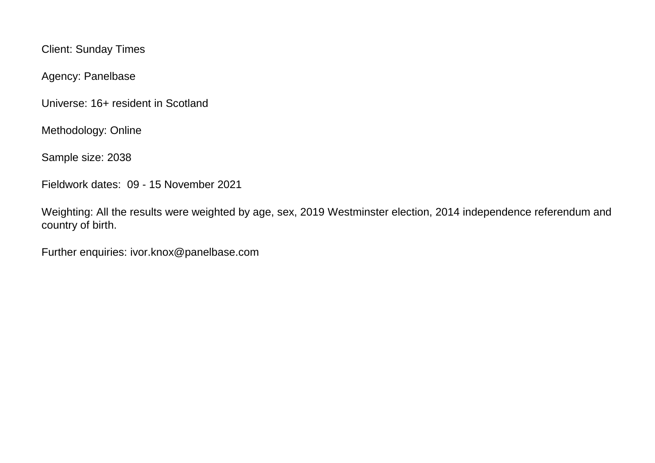Client: Sunday Times

Agency: Panelbase

Universe: 16+ resident in Scotland

Methodology: Online

Sample size: 2038

Fieldwork dates: 09 - 15 November 2021

Weighting: All the results were weighted by age, sex, 2019 Westminster election, 2014 independence referendum and country of birth.

Further enquiries: ivor.knox@panelbase.com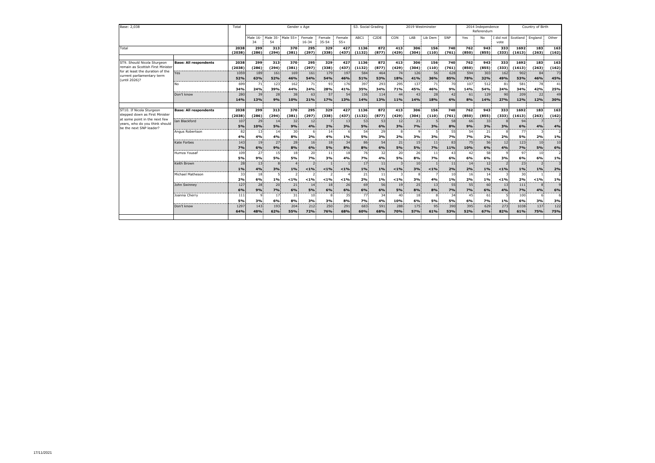| Base: 2,038                                                                                                                                              |                                             | Total             | Gender x Age        |                         |                       |                       |                     |                 | S3. Social Grading |                   | 2019 Westminster      |                             |                            |                | 2014 Independence<br>Referendum |                   |                   | Country of Birth      |                                |               |
|----------------------------------------------------------------------------------------------------------------------------------------------------------|---------------------------------------------|-------------------|---------------------|-------------------------|-----------------------|-----------------------|---------------------|-----------------|--------------------|-------------------|-----------------------|-----------------------------|----------------------------|----------------|---------------------------------|-------------------|-------------------|-----------------------|--------------------------------|---------------|
|                                                                                                                                                          |                                             |                   | Male 16-<br>34      | Male 35- Male 55+<br>54 |                       | Female<br>$16 - 34$   | Female<br>$35 - 54$ | Female<br>$55+$ | ABC1               | C <sub>2</sub> DE | CON                   | LAB                         | Lib Dem                    | SNP            | Yes                             | No                | I did not<br>vote |                       | Scotland England               | Other         |
| Total                                                                                                                                                    |                                             | 2038<br>(2038)    | 299<br>(286)        | 313<br>(294)            | 370<br>(381)          | 295<br>(297)          | 329<br>(338)        | 427<br>(437)    | 1136<br>(1132)     | 872<br>(877)      | 413<br>(429)          | 306<br>(304)                | 156<br>(110)               | 740<br>(761)   | 762<br>(850)                    | 943<br>(855)      | 333<br>(333)      | 1692<br>(1613)        | 183<br>(263)                   | 163<br>(162)  |
| ST9. Should Nicola Sturgeon<br>remain as Scottish First Minister<br>for at least the duration of the<br>current parliamentary term<br>(until 2026)?      | <b>Base: All respondents</b>                | 2038<br>(2038)    | 299<br>(286)        | 313<br>(294)            | 370<br>(381)          | 295<br>(297)          | 329<br>(338)        | 427<br>(437)    | 1136<br>(1132)     | 872<br>(877)      | 413<br>(429)          | 306<br>(304)                | 156<br>(110)               | 740<br>(761)   | 762<br>(850)                    | 943<br>(855)      | 333<br>(333)      | 1692<br>(1613)        | 183<br>(263)                   | 163<br>(162)  |
|                                                                                                                                                          | ------------------------------------<br>Yes | 1059<br>52%       | 189<br>63%          | 161<br>52%              | 169<br>46%            | 161<br>54%            | 179<br>54%          | 197<br>46%      | 584<br>51%         | 464<br>53%        | 74<br>18%             | 126<br>41%                  | 56<br>36%                  | 628<br>85%     | 594<br>78%                      | 303<br>32%        | 162<br>49%        | 902<br>53%            | 84<br>46%                      | <br>73<br>45% |
|                                                                                                                                                          | No                                          | 699<br>34%        | 71<br>24%           | 123<br>39%              | 162<br>44%            | 71<br>24%             | 93<br>28%           | 176<br>41%      | 397<br>35%         | 293<br>34%        | 295<br>71%            | 137<br>45%                  | 71<br>46%                  | 70<br>9%       | 107<br>14%                      | 512<br>54%        | 81<br>24%         | 581<br>34%            | 78<br>42%                      | 41<br>25%     |
|                                                                                                                                                          | Don't know                                  | 280<br>14%        | 39<br>13%           | 28<br>9%                | 38<br>10%             | 63<br>21%             | 57<br>17%           | 54<br>13%       | 156<br>14%         | 114<br>13%        | 44<br>11%             | 43<br>14%                   | 28<br>18%                  | 42<br>6%       | 61<br>8%                        | 129<br>14%        | 90<br>27%         | 209<br>12%            | 22<br>12%                      | 49<br>30%     |
| ST10. If Nicola Sturgeon<br>stepped down as First Minister<br>at some point in the next few<br>years, who do you think should<br>be the next SNP leader? | <b>Base: All respondents</b>                | 2038<br>(2038)    | 299<br>(286)        | 313<br>(294)            | 370<br>(381)          | 295<br>(297)          | 329<br>(338)        | 427<br>(437)    | 1136<br>(1132)     | 872<br>(877)      | 413<br>(429)          | 306<br>(304)                | 156<br>(110)               | 740<br>(761)   | 762<br>(850)                    | 943<br>(855)      | 333<br>(333)      | 1692<br>(1613)        | 183<br>(263)                   | 163<br>(162)  |
|                                                                                                                                                          | Ian Blackford                               | 107<br>5%         | 29<br>10%           | 14<br>5%                | 32<br>9%              | 12<br>4%              | 2%                  | 13<br>3%        | 53<br>5%           | 53<br>6%          | 12<br>3%              | 21<br>7%                    | 3%                         | 58<br>8%       | 66<br>9%                        | 33<br>3%          | 3%                | 94<br>6%              | 4%                             | 4%            |
|                                                                                                                                                          | Angus Robertson                             | 82<br>4%          | 13<br>4%            | 14<br>4%                | 30 <sup>1</sup><br>8% | 2%                    | 14<br>4%            | 1%              | 54<br>5%           | 29<br>3%          | 2%                    | 3%                          | 3%                         | 55<br>7%       | 54<br>7%                        | 21<br>2%          | 2%                | 77<br>5%              | 3<br>2%                        | 1%            |
|                                                                                                                                                          | Kate Forbes                                 | 143<br>7%         | 19<br>6%            | 27 <sup>1</sup><br>9%   | 28<br>8%              | 16<br>6%              | 18<br>5%            | 34<br>8%        | 86<br>8%           | 54<br>6%          | 21 <sup>1</sup><br>5% | 15<br>5%                    | 11 <sup>1</sup><br>7%      | 83<br>11%      | 75<br>10%                       | 56<br>6%          | 12<br>4%          | 123<br>7%             | 10<br>5%                       | 10<br>6%      |
|                                                                                                                                                          | Humza Yousaf                                | 109<br>5%         | 27<br>9%            | 15<br>5%                | 18<br>5%              | 20<br>7%              | 11<br>3%            | 18<br>4%        | 76<br>7%           | 32<br>4%          | 20<br>5%              | 26<br>8%                    | 11<br>7%                   | 43<br>6%       | 42<br>6%                        | 58<br>6%          | $\alpha$<br>3%    | 97<br>6%              | 10<br>6%                       | 1%            |
|                                                                                                                                                          | Keith Brown                                 | 28<br>1%          | 13<br>4%            | 3%                      | 1%                    | $< 1\%$               | $< 1\%$             | < 1%            | 17<br>1%           | 11<br>1%          | $< 1\%$               | 10 <sub>1</sub><br>3%       | $< 1\%$                    | 11<br>2%       | 14<br>2%                        | 12<br>1%          | $< 1\%$           | 23 <sup>1</sup><br>1% | $\overline{\phantom{0}}$<br>1% | 2%            |
|                                                                                                                                                          | Michael Matheson                            | 33<br>2%          | 18<br>6%            | 1%                      | $< 1\%$               | $< 1\%$               | $< 1\%$             | $< 1\%$         | 21<br>2%           | 11<br>1%<br>---   | $< 1\%$<br>-----      | 3%<br>----                  | 4%                         | 10<br>1%<br>.  | 16<br>2%                        | 14<br>1%<br>----- | $< 1\%$           | 30<br>2%<br>.         | < 1%                           | 1%            |
|                                                                                                                                                          | John Swinney                                | 127<br>6%         | 28<br>9%<br>$\circ$ | 20<br>7%<br>17          | 21<br>6%              | 14<br><b>5%</b><br>10 | 18<br>6%<br>8       | 26<br>6%<br>35  | 69<br>6%<br>77     | 56<br>6%<br>34    | 19<br>5%              | 25 <sub>1</sub><br>8%<br>18 | 13 <sup>1</sup><br>8%<br>8 | 55<br>7%<br>34 | 55<br>7%<br>45                  | 60<br>6%<br>61    | 13<br>4%          | 111<br>7%<br>100      | 8<br>4%<br>6                   | 6%            |
|                                                                                                                                                          | Joanna Cherry<br>Don't know                 | 111<br>5%<br>1297 | 3%<br>143           | 6%<br>193               | 31<br>8%<br>204       | 3%<br>212             | 3%<br>250           | 8%<br>291       | 7%<br>683          | 4%<br>591         | 40<br>10%<br>288      | 6%<br>175                   | 5%<br>95                   | 5%<br>390      | 6%<br>395                       | 7%<br>629         | 1%<br>273         | 6%<br>1038            | 3%<br>137                      | 3%<br>122     |
|                                                                                                                                                          |                                             | 64%               | 48%                 | 62%                     | 55%                   | 72%                   | 76%                 | 68%             | 60%                | 68%               | 70%                   | 57%                         | 61%                        | 53%            | 52%                             | 67%               | 82%               | 61%                   | 75%                            | 75%           |